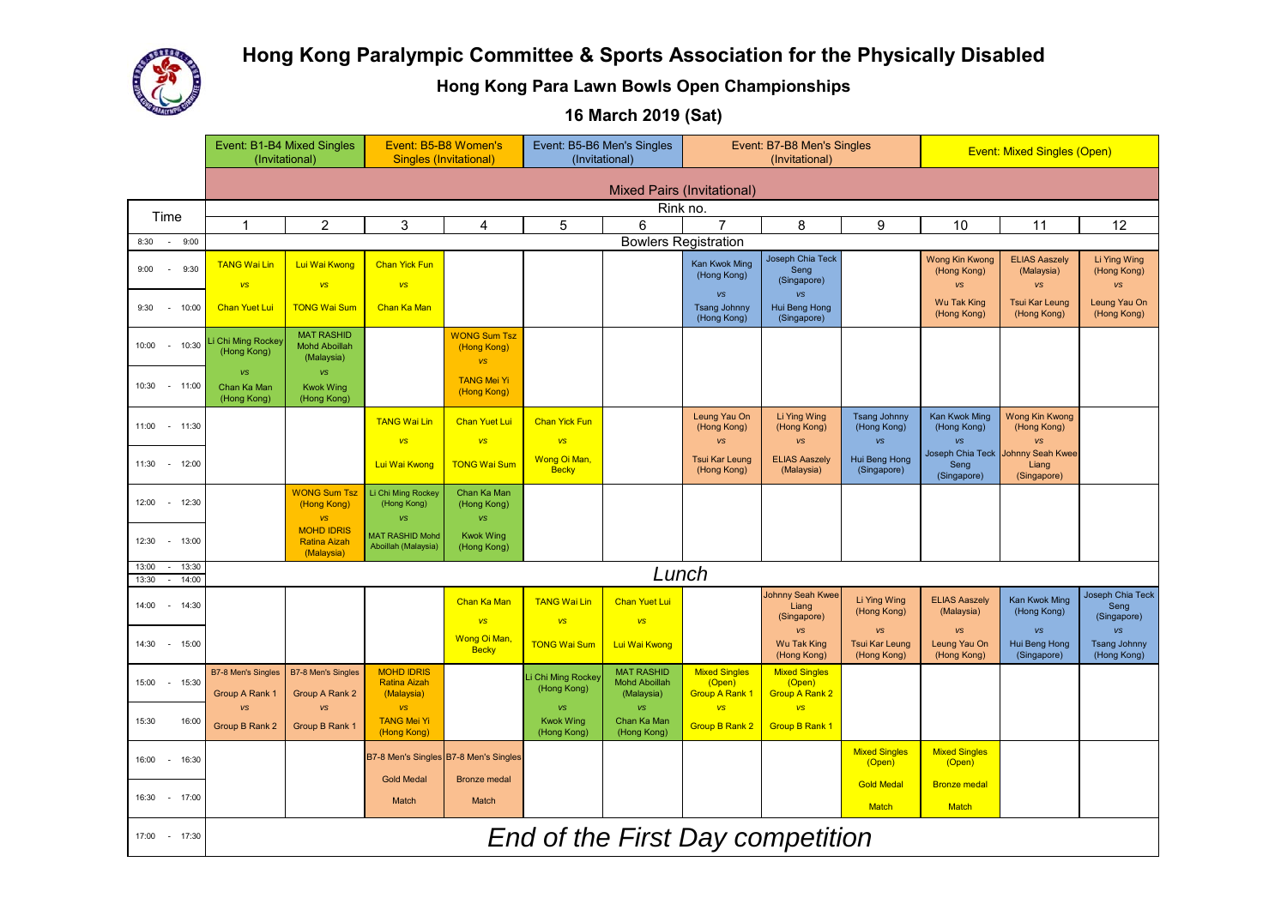

# **Hong Kong Paralympic Committee & Sports Association for the Physically Disabled**

**Hong Kong Para Lawn Bowls Open Championships**

**16 March 2019 (Sat)**

|                                               | Event: B1-B4 Mixed Singles<br>Event: B5-B8 Women's<br>(Invitational)<br><b>Singles (Invitational)</b> |                                                         | Event: B5-B6 Men's Singles<br>(Invitational)               |                                                 | (Invitational)                        | Event: B7-B8 Men's Singles                              |                                                         | <b>Event: Mixed Singles (Open)</b>               |                                            |                                            |                                            |                                                 |
|-----------------------------------------------|-------------------------------------------------------------------------------------------------------|---------------------------------------------------------|------------------------------------------------------------|-------------------------------------------------|---------------------------------------|---------------------------------------------------------|---------------------------------------------------------|--------------------------------------------------|--------------------------------------------|--------------------------------------------|--------------------------------------------|-------------------------------------------------|
|                                               |                                                                                                       | <b>Mixed Pairs (Invitational)</b>                       |                                                            |                                                 |                                       |                                                         |                                                         |                                                  |                                            |                                            |                                            |                                                 |
| Time                                          |                                                                                                       |                                                         |                                                            |                                                 |                                       | Rink no.                                                |                                                         |                                                  |                                            |                                            |                                            |                                                 |
|                                               | $\overline{1}$                                                                                        | $\overline{2}$                                          | 3                                                          | 4                                               | 5                                     | $6\phantom{1}$                                          | $\overline{7}$                                          | 8                                                | 9                                          | 10                                         | 11                                         | 12                                              |
| 9:00<br>8:30<br>$\sim$                        |                                                                                                       |                                                         |                                                            |                                                 |                                       | <b>Bowlers Registration</b>                             |                                                         |                                                  |                                            |                                            |                                            |                                                 |
| 9:00<br>$\sim$<br>9:30                        | <b>TANG Wai Lin</b><br>vs                                                                             | Lui Wai Kwong<br><b>VS</b>                              | <b>Chan Yick Fun</b><br><b>VS</b>                          |                                                 |                                       |                                                         | Kan Kwok Ming<br>(Hong Kong)                            | Joseph Chia Teck<br>Seng<br>(Singapore)          |                                            | <b>Wong Kin Kwong</b><br>(Hong Kong)<br>vs | <b>ELIAS Aaszelv</b><br>(Malaysia)<br>vs   | Li Ying Wing<br>(Hong Kong)<br><b>VS</b>        |
| 9:30<br>$-10:00$                              | <b>Chan Yuet Lui</b>                                                                                  | <b>TONG Wai Sum</b>                                     | Chan Ka Man                                                |                                                 |                                       |                                                         | <b>VS</b><br><b>Tsang Johnny</b><br>(Hong Kong)         | <b>VS</b><br>Hui Beng Hong<br>(Singapore)        |                                            | <b>Wu Tak King</b><br>(Hong Kong)          | <b>Tsui Kar Leung</b><br>(Hong Kong)       | Leung Yau On<br>(Hong Kong)                     |
| $-10:30$<br>10:00                             | Chi Ming Rockey<br>(Hong Kong)                                                                        | <b>MAT RASHID</b><br><b>Mohd Aboillah</b><br>(Malaysia) |                                                            | <b>WONG Sum Tsz</b><br>(Hong Kong)<br><b>VS</b> |                                       |                                                         |                                                         |                                                  |                                            |                                            |                                            |                                                 |
| 10:30 - 11:00                                 | <b>VS</b><br>Chan Ka Man<br>(Hong Kong)                                                               | vs<br><b>Kwok Wing</b><br>(Hong Kong)                   |                                                            | <b>TANG Mei Yi</b><br>(Hong Kong)               |                                       |                                                         |                                                         |                                                  |                                            |                                            |                                            |                                                 |
| 11:00 - 11:30                                 |                                                                                                       |                                                         | <b>TANG Wai Lin</b><br><b>VS</b>                           | <b>Chan Yuet Lui</b><br><b>VS</b>               | <b>Chan Yick Fun</b><br><b>VS</b>     |                                                         | Leung Yau On<br>(Hong Kong)<br><b>VS</b>                | Li Ying Wing<br>(Hong Kong)<br><b>VS</b>         | <b>Tsang Johnny</b><br>(Hong Kong)<br>vs   | Kan Kwok Ming<br>(Hong Kong)<br><b>VS</b>  | <b>Wong Kin Kwong</b><br>(Hong Kong)<br>vs |                                                 |
| 11:30 - 12:00                                 |                                                                                                       |                                                         | Lui Wai Kwong                                              | <b>TONG Wai Sum</b>                             | Wong Oi Man,<br><b>Becky</b>          |                                                         | <b>Tsui Kar Leung</b><br>(Hong Kong)                    | <b>ELIAS Aaszely</b><br>(Malaysia)               | Hui Beng Hong<br>(Singapore)               | Joseph Chia Teck<br>Seng<br>(Singapore)    | Johnny Seah Kwee<br>Liang<br>(Singapore)   |                                                 |
| 12:00<br>$-12:30$                             |                                                                                                       | <b>WONG Sum Tsz</b><br>(Hong Kong)<br><b>VS</b>         | Li Chi Ming Rockey<br>(Hong Kong)<br><b>VS</b>             | Chan Ka Man<br>(Hong Kong)<br><b>VS</b>         |                                       |                                                         |                                                         |                                                  |                                            |                                            |                                            |                                                 |
| 12:30<br>$- 13:00$                            |                                                                                                       | <b>MOHD IDRIS</b><br><b>Ratina Aizah</b><br>(Malaysia)  | <b>MAT RASHID Mohd</b><br>Aboillah (Malaysia)              | <b>Kwok Wing</b><br>(Hong Kong)                 |                                       |                                                         |                                                         |                                                  |                                            |                                            |                                            |                                                 |
| 13:00<br>$-13:30$<br>14:00<br>13:30<br>$\sim$ |                                                                                                       |                                                         |                                                            |                                                 |                                       | Lunch                                                   |                                                         |                                                  |                                            |                                            |                                            |                                                 |
| 14:00<br>$- 14:30$                            |                                                                                                       |                                                         |                                                            | <b>Chan Ka Man</b><br><b>VS</b>                 | <b>TANG Wai Lin</b><br><b>VS</b>      | <b>Chan Yuet Lui</b><br><b>VS</b>                       |                                                         | Johnny Seah Kwee<br>Liang<br>(Singapore)         | Li Ying Wing<br>(Hong Kong)                | <b>ELIAS Aaszely</b><br>(Malaysia)         | Kan Kwok Ming<br>(Hong Kong)               | Joseph Chia Teck<br>Sena<br>(Singapore)         |
| 14:30<br>$-15:00$                             |                                                                                                       |                                                         |                                                            | Wong Oi Man,<br><b>Becky</b>                    | <b>TONG Wai Sum</b>                   | Lui Wai Kwong                                           |                                                         | <b>VS</b><br><b>Wu Tak King</b><br>(Hong Kong)   | vs<br><b>Tsui Kar Leung</b><br>(Hong Kong) | vs<br>Leung Yau On<br>(Hong Kong)          | <b>VS</b><br>Hui Beng Hong<br>(Singapore)  | <b>VS</b><br><b>Tsang Johnny</b><br>(Hong Kong) |
| 15:00<br>$-15:30$                             | <b>B7-8 Men's Singles</b><br>Group A Rank 1                                                           | <b>B7-8 Men's Singles</b><br>Group A Rank 2             | <b>MOHD IDRIS</b><br><b>Ratina Aizah</b><br>(Malaysia)     |                                                 | i Chi Ming Rockey<br>(Hong Kong)      | <b>MAT RASHID</b><br><b>Mohd Aboillah</b><br>(Malaysia) | <b>Mixed Singles</b><br>(Open)<br><b>Group A Rank 1</b> | <b>Mixed Singles</b><br>(Open)<br>Group A Rank 2 |                                            |                                            |                                            |                                                 |
| 15:30<br>16:00                                | <b>VS</b><br>Group B Rank 2                                                                           | <b>VS</b><br>Group B Rank 1                             | <b>VS</b><br><b>TANG Mei Yi</b><br>(Hong Kong)             |                                                 | VS<br><b>Kwok Wing</b><br>(Hong Kong) | <b>VS</b><br>Chan Ka Man<br>(Hong Kong)                 | <b>VS</b><br><b>Group B Rank 2</b>                      | <b>VS</b><br><b>Group B Rank 1</b>               |                                            |                                            |                                            |                                                 |
| 16:00<br>$-16:30$                             |                                                                                                       |                                                         | B7-8 Men's Singles B7-8 Men's Singles<br><b>Gold Medal</b> | <b>Bronze</b> medal                             |                                       |                                                         |                                                         |                                                  | <b>Mixed Singles</b><br>(Open)             | <b>Mixed Singles</b><br>(Open)             |                                            |                                                 |
| 16:30<br>$- 17:00$                            |                                                                                                       |                                                         | Match                                                      | Match                                           |                                       |                                                         |                                                         |                                                  | <b>Gold Medal</b><br><b>Match</b>          | <b>Bronze medal</b><br><b>Match</b>        |                                            |                                                 |
| 17:00 - 17:30                                 |                                                                                                       |                                                         |                                                            |                                                 |                                       |                                                         |                                                         | End of the First Day competition                 |                                            |                                            |                                            |                                                 |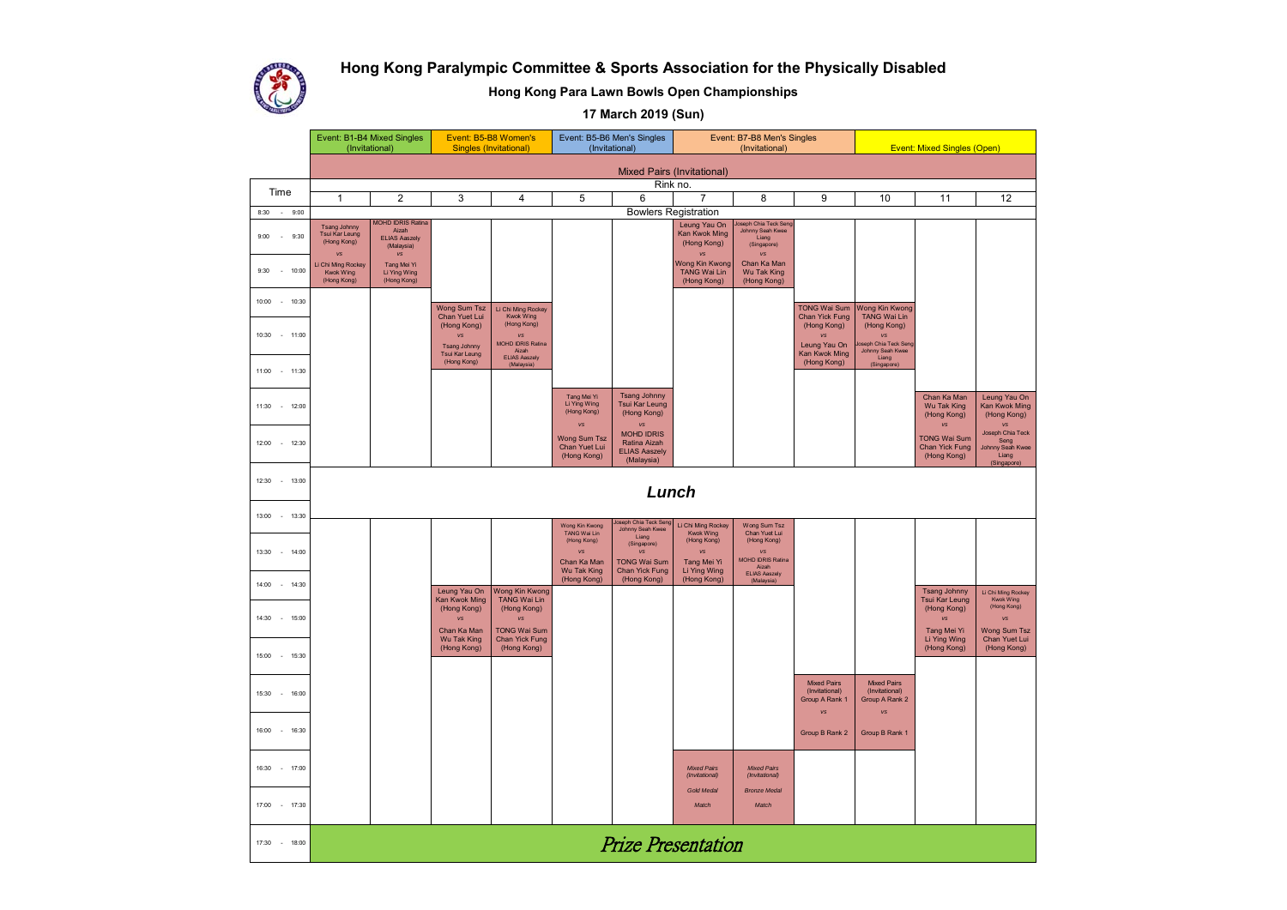



**Hong Kong Para Lawn Bowls Open Championships**

**17 March 2019 (Sun)**

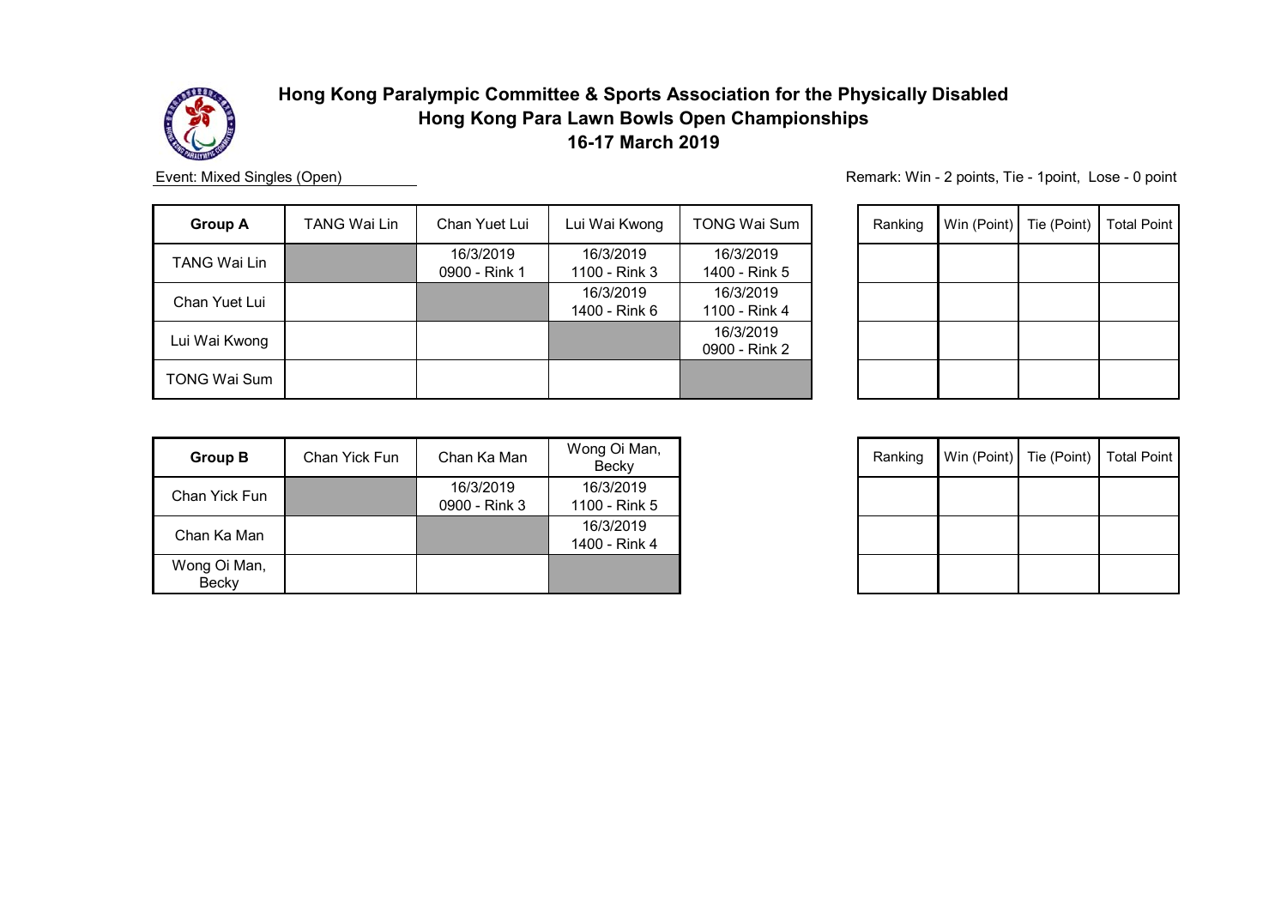

Event: Mixed Singles (Open)

| <b>Group A</b> | TANG Wai Lin | Chan Yuet Lui              | Lui Wai Kwong              | TONG Wai Sum               | Ranking | Win (Point) Tie (Point) | <b>Total Point</b> |
|----------------|--------------|----------------------------|----------------------------|----------------------------|---------|-------------------------|--------------------|
| TANG Wai Lin   |              | 16/3/2019<br>0900 - Rink 1 | 16/3/2019<br>1100 - Rink 3 | 16/3/2019<br>1400 - Rink 5 |         |                         |                    |
| Chan Yuet Lui  |              |                            | 16/3/2019<br>1400 - Rink 6 | 16/3/2019<br>1100 - Rink 4 |         |                         |                    |
| Lui Wai Kwong  |              |                            |                            | 16/3/2019<br>0900 - Rink 2 |         |                         |                    |
| TONG Wai Sum   |              |                            |                            |                            |         |                         |                    |

| Ranking | Win (Point) Tie (Point) | <b>Total Point</b> |
|---------|-------------------------|--------------------|
|         |                         |                    |
|         |                         |                    |
|         |                         |                    |
|         |                         |                    |

| <b>Group B</b>        | Chan Yick Fun | Chan Ka Man                | Wong Oi Man,<br>Becky      |
|-----------------------|---------------|----------------------------|----------------------------|
| Chan Yick Fun         |               | 16/3/2019<br>0900 - Rink 3 | 16/3/2019<br>1100 - Rink 5 |
| Chan Ka Man           |               |                            | 16/3/2019<br>1400 - Rink 4 |
| Wong Oi Man,<br>Becky |               |                            |                            |

| Ranking |  | Win (Point) Tie (Point) Total Point |
|---------|--|-------------------------------------|
|         |  |                                     |
|         |  |                                     |
|         |  |                                     |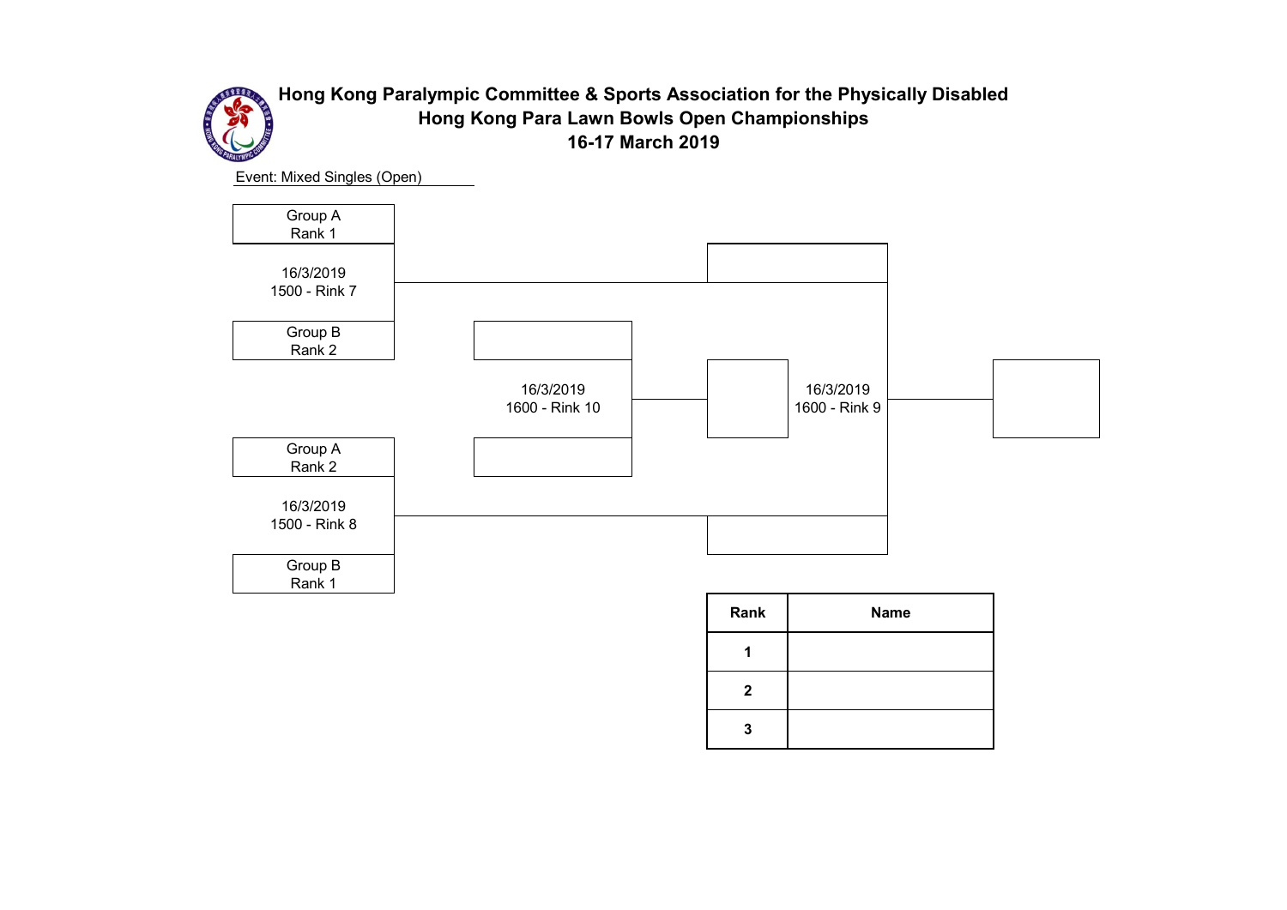

Event: Mixed Singles (Open)



| Rank         | <b>Name</b> |
|--------------|-------------|
|              |             |
| $\mathbf{2}$ |             |
| 3            |             |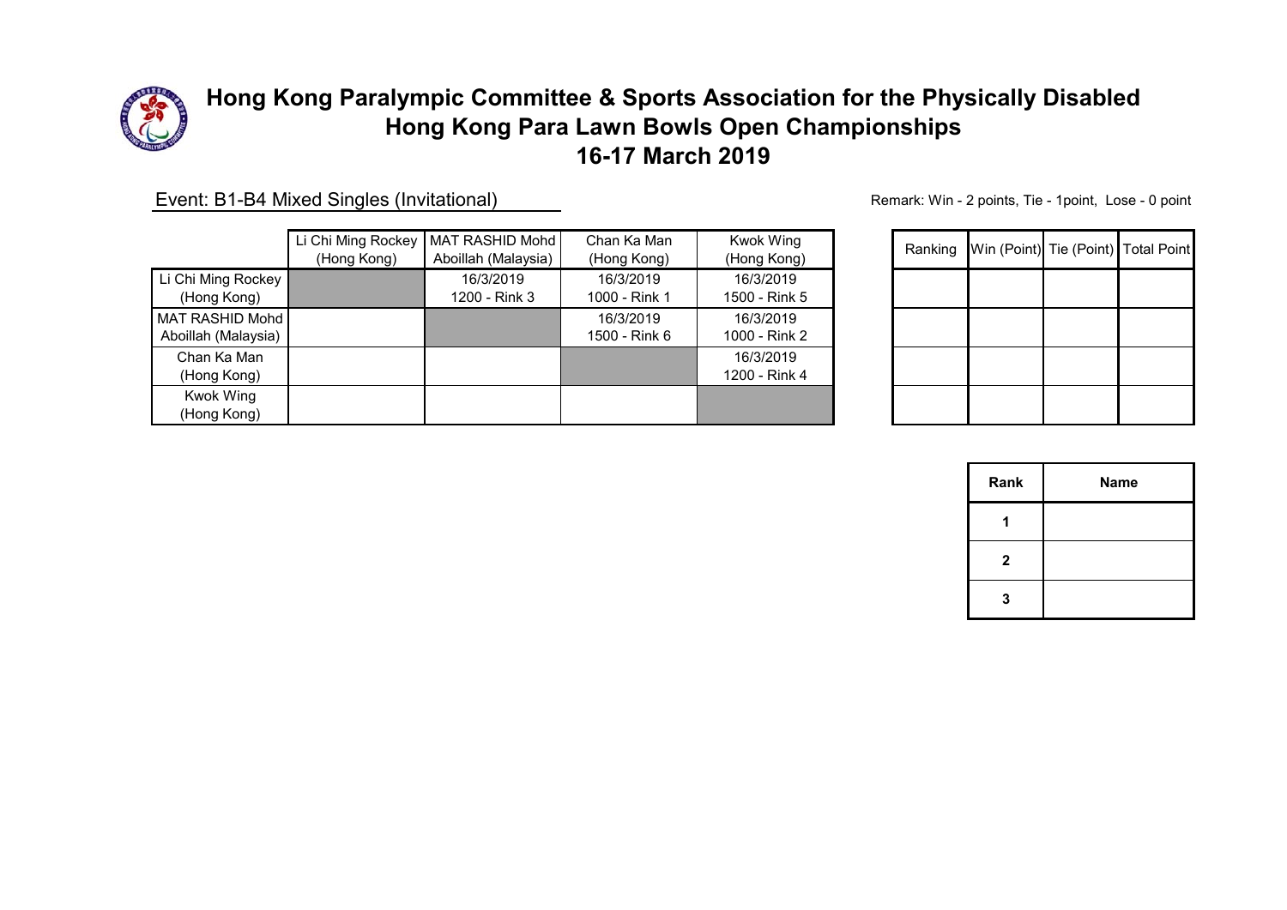

Event: B1-B4 Mixed Singles (Invitational)

|                     | Li Chi Ming Rockey | MAT RASHID Mohd     | Chan Ka Man   | <b>Kwok Wing</b> |
|---------------------|--------------------|---------------------|---------------|------------------|
|                     | (Hong Kong)        | Aboillah (Malaysia) | (Hong Kong)   | (Hong Kong)      |
| Li Chi Ming Rockey  |                    | 16/3/2019           | 16/3/2019     | 16/3/2019        |
| (Hong Kong)         |                    | 1200 - Rink 3       | 1000 - Rink 1 | 1500 - Rink 5    |
| MAT RASHID Mohd     |                    |                     | 16/3/2019     | 16/3/2019        |
| Aboillah (Malaysia) |                    |                     | 1500 - Rink 6 | 1000 - Rink 2    |
| Chan Ka Man         |                    |                     |               | 16/3/2019        |
| (Hong Kong)         |                    |                     |               | 1200 - Rink 4    |
| Kwok Wing           |                    |                     |               |                  |
| (Hong Kong)         |                    |                     |               |                  |

| <b>Kwok Wing</b><br>(Hong Kong) | Ranking | Win (Point) Tie (Point) Total Point |  |
|---------------------------------|---------|-------------------------------------|--|
| 16/3/2019<br>1500 - Rink 5      |         |                                     |  |
| 16/3/2019<br>1000 - Rink 2      |         |                                     |  |
| 16/3/2019<br>1200 - Rink 4      |         |                                     |  |
|                                 |         |                                     |  |

| Rank         | Name |
|--------------|------|
|              |      |
| $\mathbf{2}$ |      |
| 3            |      |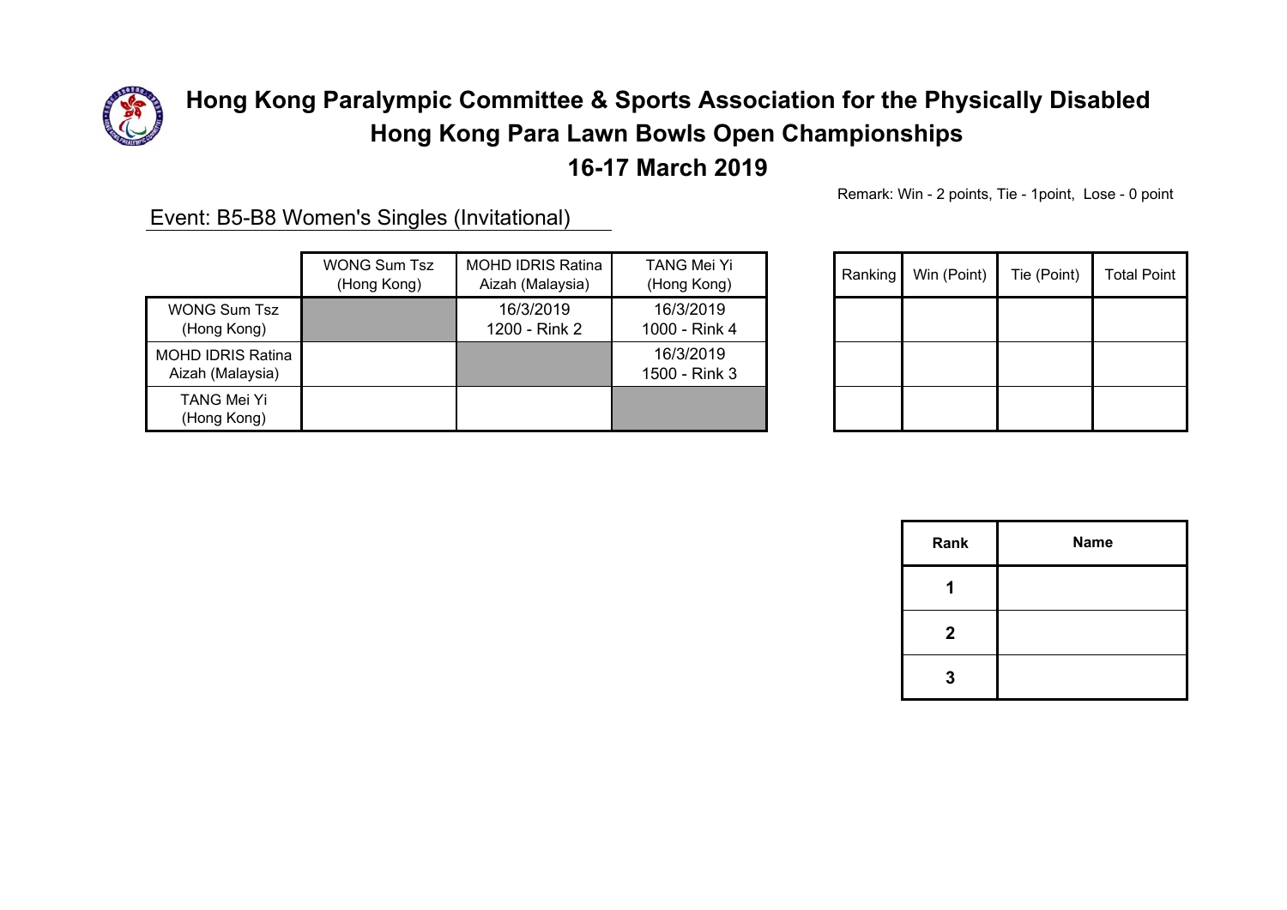

# **16-17 March 2019**

Remark: Win - 2 points, Tie - 1point, Lose - 0 point

Event: B5-B8 Women's Singles (Invitational)

|                                              | <b>WONG Sum Tsz</b> | <b>MOHD IDRIS Ratina</b> | TANG Mei Yi                |
|----------------------------------------------|---------------------|--------------------------|----------------------------|
|                                              | (Hong Kong)         | Aizah (Malaysia)         | (Hong Kong)                |
| <b>WONG Sum Tsz</b>                          |                     | 16/3/2019                | 16/3/2019                  |
| (Hong Kong)                                  |                     | 1200 - Rink 2            | 1000 - Rink 4              |
| <b>MOHD IDRIS Ratina</b><br>Aizah (Malaysia) |                     |                          | 16/3/2019<br>1500 - Rink 3 |
| TANG Mei Yi<br>(Hong Kong)                   |                     |                          |                            |

| TANG Mei Yi<br>(Hong Kong) | Ranking | Win (Point) | Tie (Point) | <b>Total Point</b> |
|----------------------------|---------|-------------|-------------|--------------------|
| 16/3/2019<br>000 - Rink 4  |         |             |             |                    |
| 16/3/2019<br>500 - Rink 3  |         |             |             |                    |
|                            |         |             |             |                    |

| Rank         | <b>Name</b> |
|--------------|-------------|
|              |             |
| $\mathbf{2}$ |             |
| 3            |             |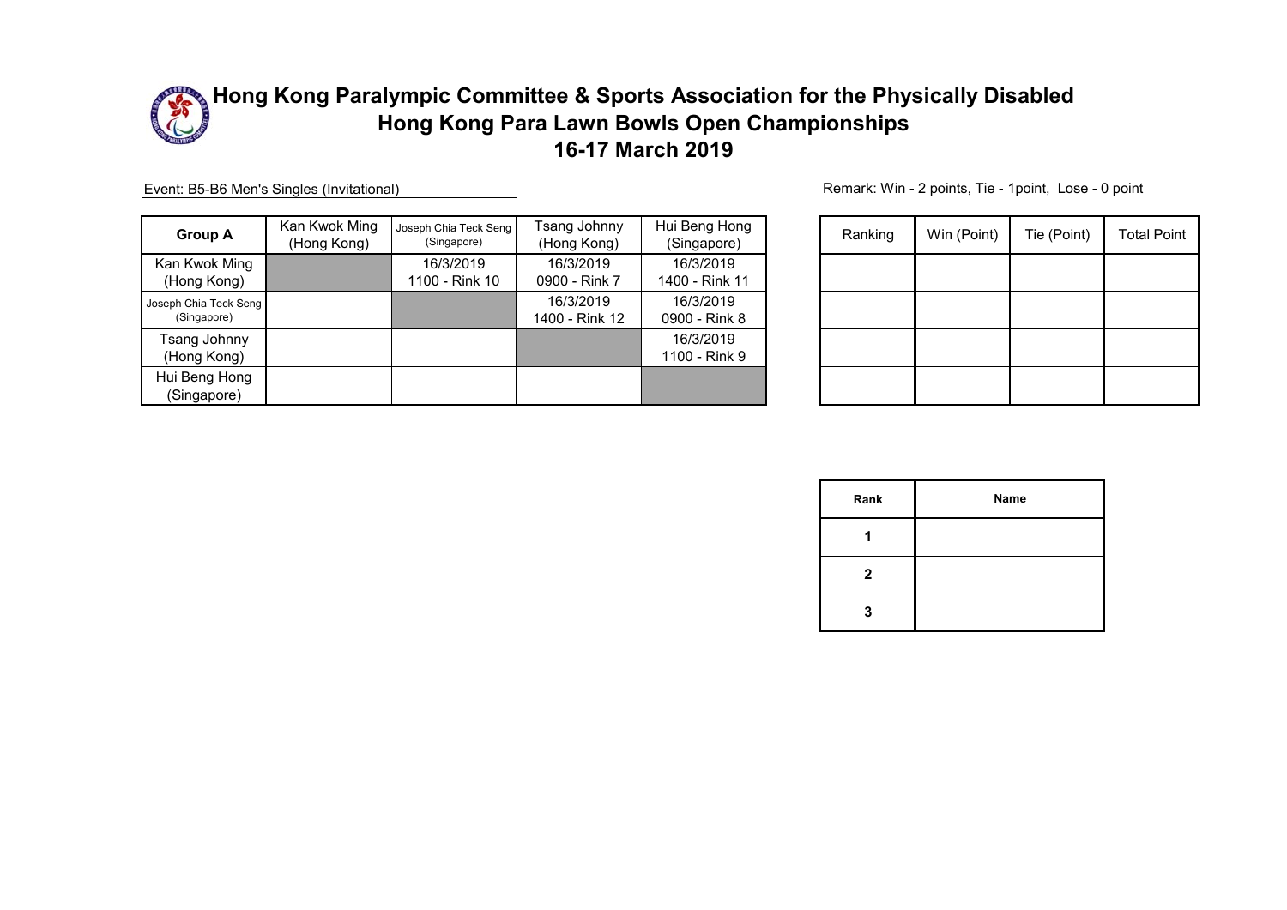

Event: B5-B6 Men's Singles (Invitational)

| <b>Group A</b>                       | Kan Kwok Ming<br>(Hong Kong) | Joseph Chia Teck Seng<br>(Singapore) | Tsang Johnny<br>(Hong Kong) | Hui Beng Hong<br>(Singapore) | Ranking | Win (Point) | Tie (Point) | <b>Total Point</b> |
|--------------------------------------|------------------------------|--------------------------------------|-----------------------------|------------------------------|---------|-------------|-------------|--------------------|
| Kan Kwok Ming<br>(Hong Kong)         |                              | 16/3/2019<br>1100 - Rink 10          | 16/3/2019<br>0900 - Rink 7  | 16/3/2019<br>1400 - Rink 11  |         |             |             |                    |
| Joseph Chia Teck Seng<br>(Singapore) |                              |                                      | 16/3/2019<br>1400 - Rink 12 | 16/3/2019<br>0900 - Rink 8   |         |             |             |                    |
| Tsang Johnny<br>(Hong Kong)          |                              |                                      |                             | 16/3/2019<br>1100 - Rink 9   |         |             |             |                    |
| Hui Beng Hong<br>(Singapore)         |                              |                                      |                             |                              |         |             |             |                    |

| Ranking | Win (Point) | Tie (Point) | <b>Total Point</b> |
|---------|-------------|-------------|--------------------|
|         |             |             |                    |
|         |             |             |                    |
|         |             |             |                    |
|         |             |             |                    |

| Rank         | Name |
|--------------|------|
|              |      |
| $\mathbf{2}$ |      |
| 3            |      |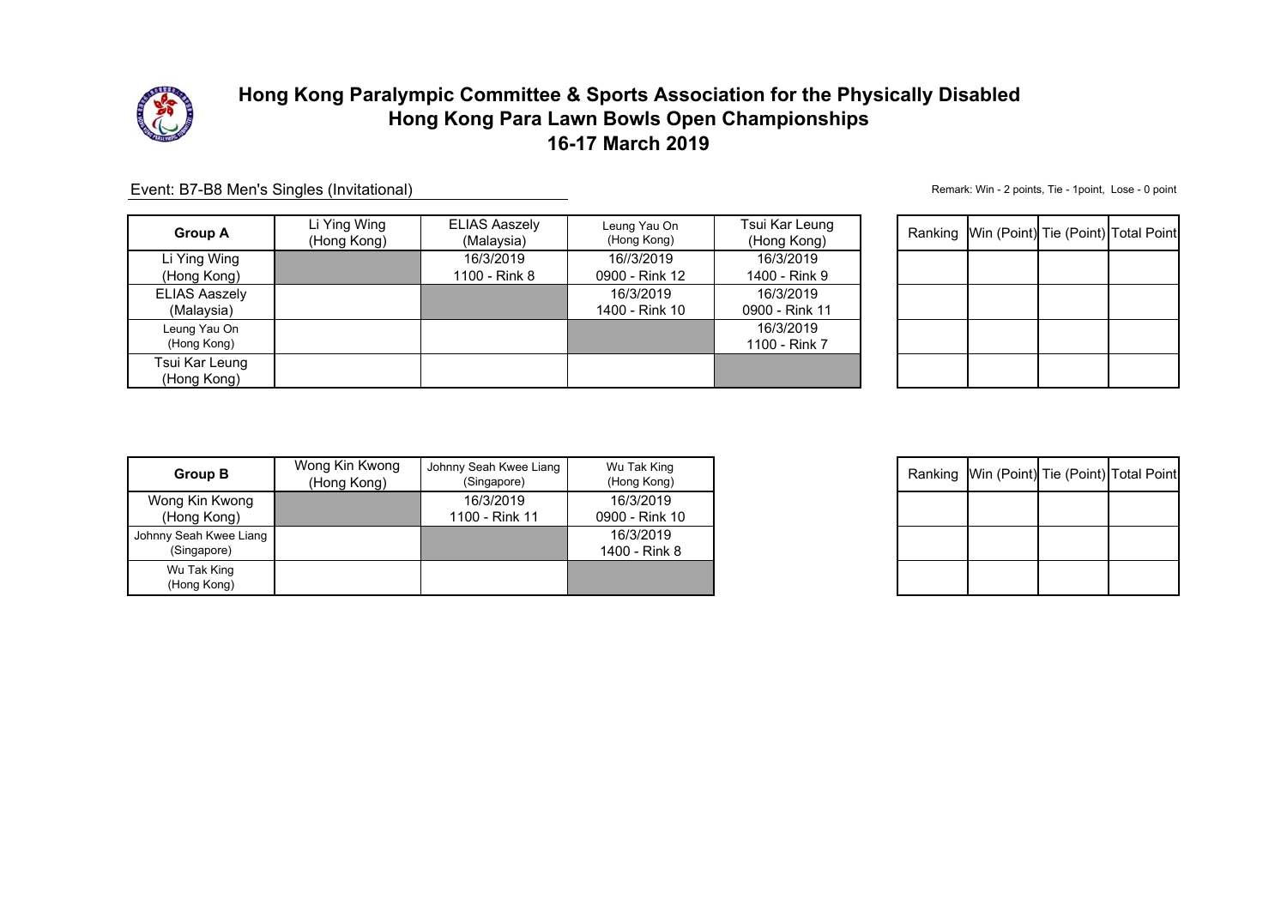

| <b>Group A</b>                     | Li Ying Wing<br>(Hong Kong) | <b>ELIAS Aaszely</b><br>(Malaysia) | Leung Yau On<br>(Hong Kong)  | Tsui Kar Leung<br>(Hong Kong) |  | Ranking Win (Point) Tie (Point) Total Point |  |
|------------------------------------|-----------------------------|------------------------------------|------------------------------|-------------------------------|--|---------------------------------------------|--|
| Li Ying Wing<br>(Hong Kong)        |                             | 16/3/2019<br>1100 - Rink 8         | 16//3/2019<br>0900 - Rink 12 | 16/3/2019<br>1400 - Rink 9    |  |                                             |  |
| <b>ELIAS Aaszely</b><br>(Malaysia) |                             |                                    | 16/3/2019<br>1400 - Rink 10  | 16/3/2019<br>0900 - Rink 11   |  |                                             |  |
| Leung Yau On<br>(Hong Kong)        |                             |                                    |                              | 16/3/2019<br>1100 - Rink 7    |  |                                             |  |
| Tsui Kar Leung<br>(Hong Kong)      |                             |                                    |                              |                               |  |                                             |  |

Event: B7-B8 Men's Singles (Invitational)

| Ranking Win (Point) Tie (Point) Total Point |  |
|---------------------------------------------|--|
|                                             |  |
|                                             |  |
|                                             |  |
|                                             |  |

| <b>Group B</b>         | Wong Kin Kwong<br>(Hong Kong) | Johnny Seah Kwee Liang<br>(Singapore) | Wu Tak King<br>(Hong Kong) |
|------------------------|-------------------------------|---------------------------------------|----------------------------|
| Wong Kin Kwong         |                               | 16/3/2019                             | 16/3/2019                  |
| (Hong Kong)            |                               | 1100 - Rink 11                        | 0900 - Rink 10             |
| Johnny Seah Kwee Liang |                               |                                       | 16/3/2019                  |
| (Singapore)            |                               |                                       | 1400 - Rink 8              |
| Wu Tak King            |                               |                                       |                            |
| (Hong Kong)            |                               |                                       |                            |

| Ranking Win (Point) Tie (Point) Total Point |  |
|---------------------------------------------|--|
|                                             |  |
|                                             |  |
|                                             |  |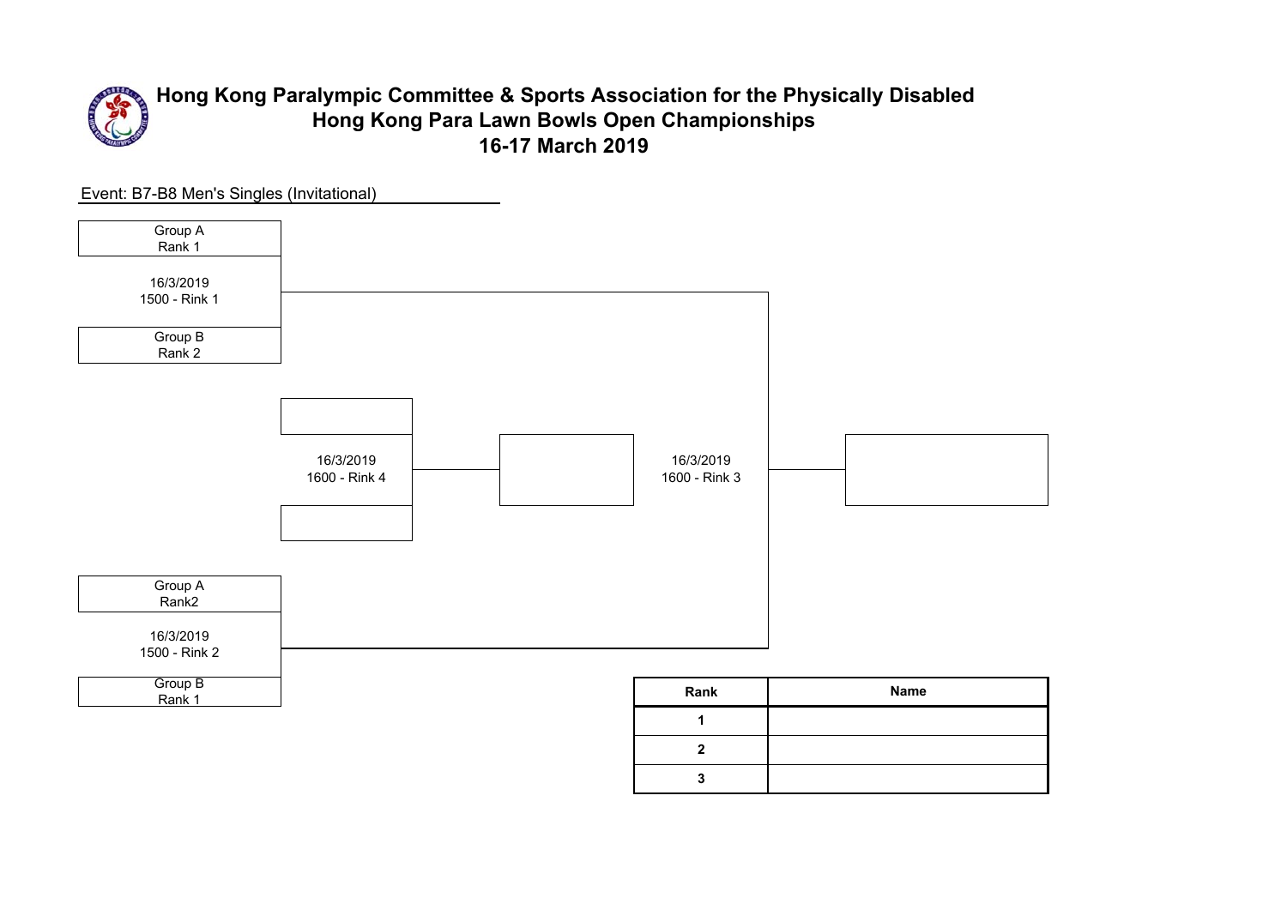

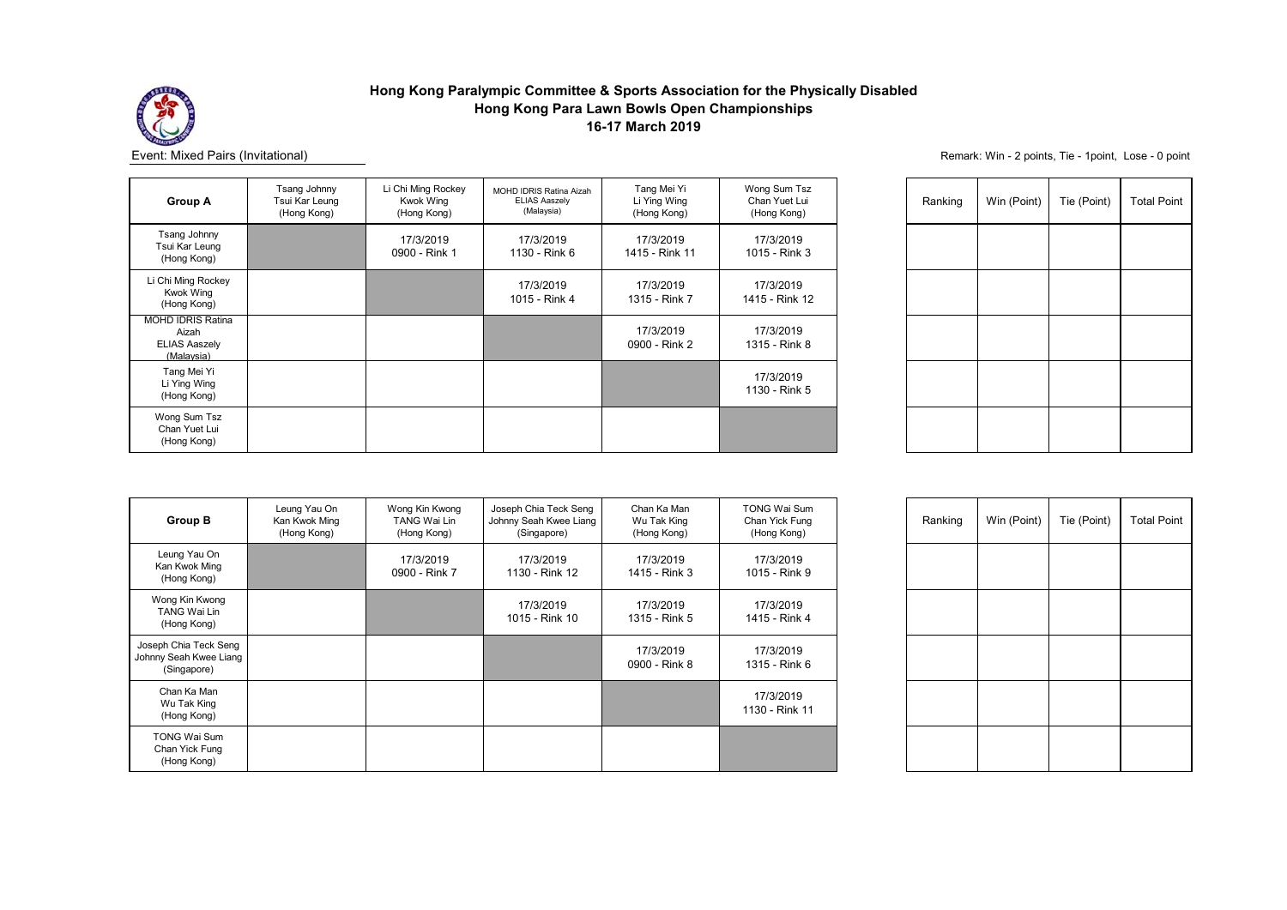

| <b>Group A</b>                                                          | Tsang Johnny<br>Tsui Kar Leung<br>(Hong Kong) | Li Chi Ming Rockey<br><b>Kwok Wing</b><br>(Hong Kong) | <b>MOHD IDRIS Ratina Aizah</b><br><b>ELIAS Aaszely</b><br>(Malaysia) | Tang Mei Yi<br>Li Ying Wing<br>(Hong Kong) | Wong Sum Tsz<br>Chan Yuet Lui<br>(Hong Kong) |
|-------------------------------------------------------------------------|-----------------------------------------------|-------------------------------------------------------|----------------------------------------------------------------------|--------------------------------------------|----------------------------------------------|
| Tsang Johnny<br>Tsui Kar Leung<br>(Hong Kong)                           |                                               | 17/3/2019<br>0900 - Rink 1                            | 17/3/2019<br>1130 - Rink 6                                           | 17/3/2019<br>1415 - Rink 11                | 17/3/2019<br>1015 - Rink 3                   |
| Li Chi Ming Rockey<br><b>Kwok Wing</b><br>(Hong Kong)                   |                                               |                                                       | 17/3/2019<br>1015 - Rink 4                                           | 17/3/2019<br>1315 - Rink 7                 | 17/3/2019<br>1415 - Rink 12                  |
| <b>MOHD IDRIS Ratina</b><br>Aizah<br><b>ELIAS Aaszely</b><br>(Malaysia) |                                               |                                                       |                                                                      | 17/3/2019<br>0900 - Rink 2                 | 17/3/2019<br>1315 - Rink 8                   |
| Tang Mei Yi<br>Li Ying Wing<br>(Hong Kong)                              |                                               |                                                       |                                                                      |                                            | 17/3/2019<br>1130 - Rink 5                   |
| Wong Sum Tsz<br>Chan Yuet Lui<br>(Hong Kong)                            |                                               |                                                       |                                                                      |                                            |                                              |

| Ranking | Win (Point) | Tie (Point) | <b>Total Point</b> |
|---------|-------------|-------------|--------------------|
|         |             |             |                    |
|         |             |             |                    |
|         |             |             |                    |
|         |             |             |                    |
|         |             |             |                    |

| <b>Group B</b>                                                 | Leung Yau On<br>Kan Kwok Ming<br>(Hong Kong) | Wong Kin Kwong<br><b>TANG Wai Lin</b><br>(Hong Kong) | Joseph Chia Teck Seng<br>Johnny Seah Kwee Liang<br>(Singapore) | Chan Ka Man<br>Wu Tak King<br>(Hong Kong) | <b>TONG Wai Sum</b><br>Chan Yick Fung<br>(Hong Kong) |
|----------------------------------------------------------------|----------------------------------------------|------------------------------------------------------|----------------------------------------------------------------|-------------------------------------------|------------------------------------------------------|
| Leung Yau On<br>Kan Kwok Ming<br>(Hong Kong)                   |                                              | 17/3/2019<br>0900 - Rink 7                           | 17/3/2019<br>1130 - Rink 12                                    | 17/3/2019<br>1415 - Rink 3                | 17/3/2019<br>1015 - Rink 9                           |
| Wong Kin Kwong<br><b>TANG Wai Lin</b><br>(Hong Kong)           |                                              |                                                      | 17/3/2019<br>1015 - Rink 10                                    | 17/3/2019<br>1315 - Rink 5                | 17/3/2019<br>1415 - Rink 4                           |
| Joseph Chia Teck Seng<br>Johnny Seah Kwee Liang<br>(Singapore) |                                              |                                                      |                                                                | 17/3/2019<br>0900 - Rink 8                | 17/3/2019<br>1315 - Rink 6                           |
| Chan Ka Man<br>Wu Tak King<br>(Hong Kong)                      |                                              |                                                      |                                                                |                                           | 17/3/2019<br>1130 - Rink 11                          |
| <b>TONG Wai Sum</b><br>Chan Yick Fung<br>(Hong Kong)           |                                              |                                                      |                                                                |                                           |                                                      |

| Ranking | Win (Point) | Tie (Point) | <b>Total Point</b> |
|---------|-------------|-------------|--------------------|
|         |             |             |                    |
|         |             |             |                    |
|         |             |             |                    |
|         |             |             |                    |
|         |             |             |                    |